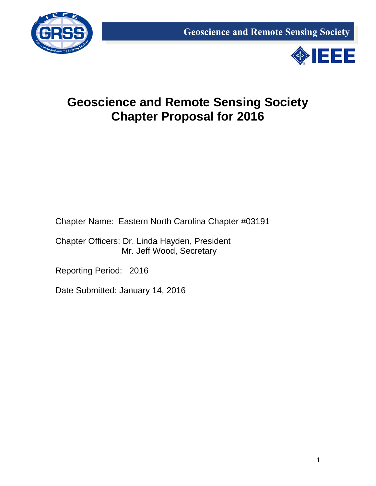



# **Geoscience and Remote Sensing Society Chapter Proposal for 2016**

Chapter Name: Eastern North Carolina Chapter #03191

Chapter Officers: Dr. Linda Hayden, President Mr. Jeff Wood, Secretary

Reporting Period: 2016

Date Submitted: January 14, 2016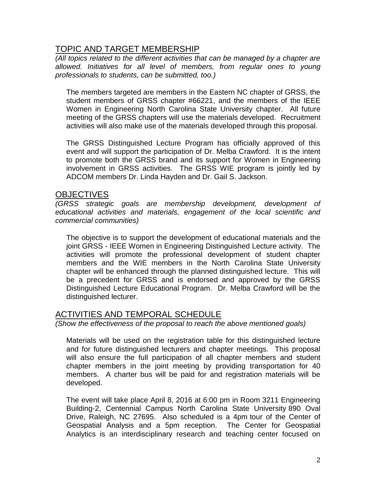## TOPIC AND TARGET MEMBERSHIP

*(All topics related to the different activities that can be managed by a chapter are allowed. Initiatives for all level of members, from regular ones to young professionals to students, can be submitted, too.)*

The members targeted are members in the Eastern NC chapter of GRSS, the student members of GRSS chapter #66221, and the members of the IEEE Women in Engineering North Carolina State University chapter. All future meeting of the GRSS chapters will use the materials developed. Recruitment activities will also make use of the materials developed through this proposal.

The GRSS Distinguished Lecture Program has officially approved of this event and will support the participation of Dr. Melba Crawford. It is the intent to promote both the GRSS brand and its support for Women in Engineering involvement in GRSS activities. The GRSS WIE program is jointly led by ADCOM members Dr. Linda Hayden and Dr. Gail S. Jackson.

#### **OBJECTIVES**

*(GRSS strategic goals are membership development, development of educational activities and materials, engagement of the local scientific and commercial communities)*

The objective is to support the development of educational materials and the joint GRSS - IEEE Women in Engineering Distinguished Lecture activity. The activities will promote the professional development of student chapter members and the WIE members in the North Carolina State University chapter will be enhanced through the planned distinguished lecture. This will be a precedent for GRSS and is endorsed and approved by the GRSS Distinguished Lecture Educational Program. Dr. Melba Crawford will be the distinguished lecturer.

### ACTIVITIES AND TEMPORAL SCHEDULE

*(Show the effectiveness of the proposal to reach the above mentioned goals)*

Materials will be used on the registration table for this distinguished lecture and for future distinguished lecturers and chapter meetings. This proposal will also ensure the full participation of all chapter members and student chapter members in the joint meeting by providing transportation for 40 members. A charter bus will be paid for and registration materials will be developed.

The event will take place April 8, 2016 at 6:00 pm in Room 3211 Engineering Building-2, Centennial Campus North Carolina State University 890 Oval Drive, Raleigh, NC 27695. Also scheduled is a 4pm tour of the Center of Geospatial Analysis and a 5pm reception. The Center for Geospatial Analytics is an interdisciplinary research and teaching center focused on